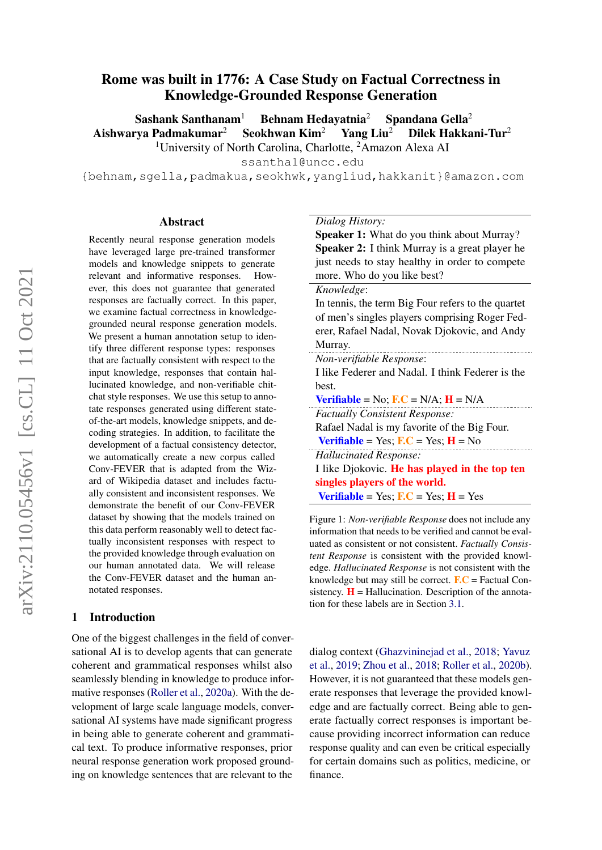# Rome was built in 1776: A Case Study on Factual Correctness in Knowledge-Grounded Response Generation

Sashank Santhanam<sup>1</sup> Behnam Hedayatnia<sup>2</sup> Spandana Gella<sup>2</sup> Aishwarya Padmakumar<sup>2</sup> Seokhwan Kim<sup>2</sup> Yang Liu<sup>2</sup> Dilek Hakkani-Tur<sup>2</sup>

<sup>1</sup>University of North Carolina, Charlotte, <sup>2</sup>Amazon Alexa AI

ssantha1@uncc.edu

{behnam,sgella,padmakua,seokhwk,yangliud,hakkanit}@amazon.com

#### Abstract

Recently neural response generation models have leveraged large pre-trained transformer models and knowledge snippets to generate relevant and informative responses. However, this does not guarantee that generated responses are factually correct. In this paper, we examine factual correctness in knowledgegrounded neural response generation models. We present a human annotation setup to identify three different response types: responses that are factually consistent with respect to the input knowledge, responses that contain hallucinated knowledge, and non-verifiable chitchat style responses. We use this setup to annotate responses generated using different stateof-the-art models, knowledge snippets, and decoding strategies. In addition, to facilitate the development of a factual consistency detector, we automatically create a new corpus called Conv-FEVER that is adapted from the Wizard of Wikipedia dataset and includes factually consistent and inconsistent responses. We demonstrate the benefit of our Conv-FEVER dataset by showing that the models trained on this data perform reasonably well to detect factually inconsistent responses with respect to the provided knowledge through evaluation on our human annotated data. We will release the Conv-FEVER dataset and the human annotated responses.

#### 1 Introduction

One of the biggest challenges in the field of conversational AI is to develop agents that can generate coherent and grammatical responses whilst also seamlessly blending in knowledge to produce informative responses [\(Roller et al.,](#page-10-0) [2020a\)](#page-10-0). With the development of large scale language models, conversational AI systems have made significant progress in being able to generate coherent and grammatical text. To produce informative responses, prior neural response generation work proposed grounding on knowledge sentences that are relevant to the

#### <span id="page-0-0"></span>*Dialog History:*

Speaker 1: What do you think about Murray? Speaker 2: I think Murray is a great player he just needs to stay healthy in order to compete more. Who do you like best?

#### *Knowledge*:

In tennis, the term Big Four refers to the quartet of men's singles players comprising Roger Federer, Rafael Nadal, Novak Djokovic, and Andy Murray.

| Non-verifiable Response:                                                   |
|----------------------------------------------------------------------------|
| I like Federer and Nadal. I think Federer is the                           |
| best.                                                                      |
| <b>Verifiable</b> = No; $\mathbf{F}.\mathbf{C}$ = N/A; $\mathbf{H}$ = N/A  |
| <b>Factually Consistent Response:</b>                                      |
| Rafael Nadal is my favorite of the Big Four.                               |
| <b>Verifiable</b> = Yes; $\mathbf{F}.\mathbf{C}$ = Yes; $\mathbf{H}$ = No  |
| <b>Hallucinated Response:</b>                                              |
| I like Djokovic. He has played in the top ten                              |
| singles players of the world.                                              |
| <b>Verifiable</b> = Yes; $\mathbf{F}.\mathbf{C}$ = Yes; $\mathbf{H}$ = Yes |

Figure 1: *Non-verifiable Response* does not include any information that needs to be verified and cannot be evaluated as consistent or not consistent. *Factually Consistent Response* is consistent with the provided knowledge. *Hallucinated Response* is not consistent with the knowledge but may still be correct.  $\mathbf{F}.\mathbf{C} = \text{Factual Con-}$ sistency.  $H = H$ allucination. Description of the annotation for these labels are in Section [3.1.](#page-2-0)

dialog context [\(Ghazvininejad et al.,](#page-8-0) [2018;](#page-8-0) [Yavuz](#page-10-1) [et al.,](#page-10-1) [2019;](#page-10-1) [Zhou et al.,](#page-10-2) [2018;](#page-10-2) [Roller et al.,](#page-10-3) [2020b\)](#page-10-3). However, it is not guaranteed that these models generate responses that leverage the provided knowledge and are factually correct. Being able to generate factually correct responses is important because providing incorrect information can reduce response quality and can even be critical especially for certain domains such as politics, medicine, or finance.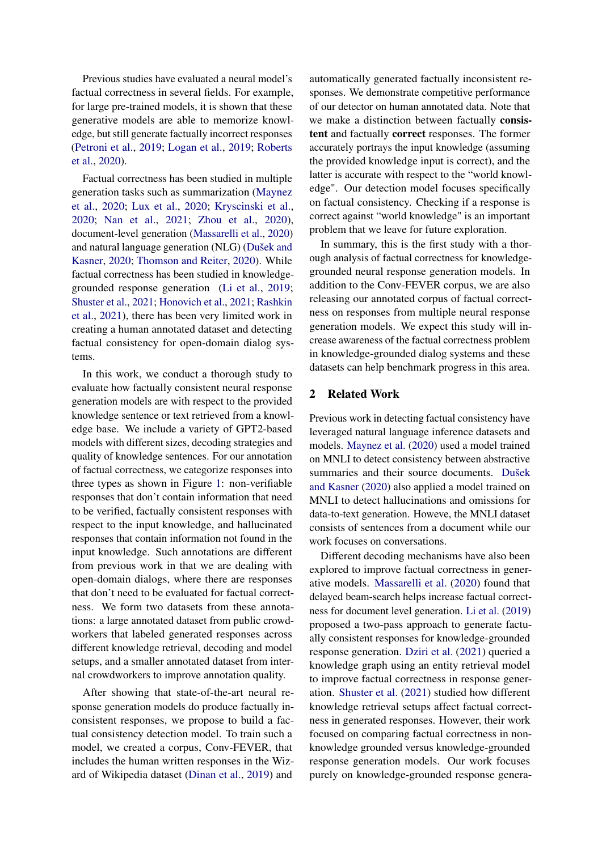Previous studies have evaluated a neural model's factual correctness in several fields. For example, for large pre-trained models, it is shown that these generative models are able to memorize knowledge, but still generate factually incorrect responses [\(Petroni et al.,](#page-9-0) [2019;](#page-9-0) [Logan et al.,](#page-9-1) [2019;](#page-9-1) [Roberts](#page-10-4) [et al.,](#page-10-4) [2020\)](#page-10-4).

Factual correctness has been studied in multiple generation tasks such as summarization [\(Maynez](#page-9-2) [et al.,](#page-9-2) [2020;](#page-9-2) [Lux et al.,](#page-9-3) [2020;](#page-9-3) [Kryscinski et al.,](#page-9-4) [2020;](#page-9-4) [Nan et al.,](#page-9-5) [2021;](#page-9-5) [Zhou et al.,](#page-10-5) [2020\)](#page-10-5), document-level generation [\(Massarelli et al.,](#page-9-6) [2020\)](#page-9-6) and natural language generation (NLG) [\(Dušek and](#page-8-1) [Kasner,](#page-8-1) [2020;](#page-8-1) [Thomson and Reiter,](#page-10-6) [2020\)](#page-10-6). While factual correctness has been studied in knowledgegrounded response generation [\(Li et al.,](#page-9-7) [2019;](#page-9-7) [Shuster et al.,](#page-10-7) [2021;](#page-10-7) [Honovich et al.,](#page-9-8) [2021;](#page-9-8) [Rashkin](#page-10-8) [et al.,](#page-10-8) [2021\)](#page-10-8), there has been very limited work in creating a human annotated dataset and detecting factual consistency for open-domain dialog systems.

In this work, we conduct a thorough study to evaluate how factually consistent neural response generation models are with respect to the provided knowledge sentence or text retrieved from a knowledge base. We include a variety of GPT2-based models with different sizes, decoding strategies and quality of knowledge sentences. For our annotation of factual correctness, we categorize responses into three types as shown in Figure [1:](#page-0-0) non-verifiable responses that don't contain information that need to be verified, factually consistent responses with respect to the input knowledge, and hallucinated responses that contain information not found in the input knowledge. Such annotations are different from previous work in that we are dealing with open-domain dialogs, where there are responses that don't need to be evaluated for factual correctness. We form two datasets from these annotations: a large annotated dataset from public crowdworkers that labeled generated responses across different knowledge retrieval, decoding and model setups, and a smaller annotated dataset from internal crowdworkers to improve annotation quality.

After showing that state-of-the-art neural response generation models do produce factually inconsistent responses, we propose to build a factual consistency detection model. To train such a model, we created a corpus, Conv-FEVER, that includes the human written responses in the Wizard of Wikipedia dataset [\(Dinan et al.,](#page-8-2) [2019\)](#page-8-2) and

automatically generated factually inconsistent responses. We demonstrate competitive performance of our detector on human annotated data. Note that we make a distinction between factually consistent and factually correct responses. The former accurately portrays the input knowledge (assuming the provided knowledge input is correct), and the latter is accurate with respect to the "world knowledge". Our detection model focuses specifically on factual consistency. Checking if a response is correct against "world knowledge" is an important problem that we leave for future exploration.

In summary, this is the first study with a thorough analysis of factual correctness for knowledgegrounded neural response generation models. In addition to the Conv-FEVER corpus, we are also releasing our annotated corpus of factual correctness on responses from multiple neural response generation models. We expect this study will increase awareness of the factual correctness problem in knowledge-grounded dialog systems and these datasets can help benchmark progress in this area.

## 2 Related Work

Previous work in detecting factual consistency have leveraged natural language inference datasets and models. [Maynez et al.](#page-9-2) [\(2020\)](#page-9-2) used a model trained on MNLI to detect consistency between abstractive summaries and their source documents. [Dušek](#page-8-1) [and Kasner](#page-8-1) [\(2020\)](#page-8-1) also applied a model trained on MNLI to detect hallucinations and omissions for data-to-text generation. Howeve, the MNLI dataset consists of sentences from a document while our work focuses on conversations.

Different decoding mechanisms have also been explored to improve factual correctness in generative models. [Massarelli et al.](#page-9-6) [\(2020\)](#page-9-6) found that delayed beam-search helps increase factual correctness for document level generation. [Li et al.](#page-9-7) [\(2019\)](#page-9-7) proposed a two-pass approach to generate factually consistent responses for knowledge-grounded response generation. [Dziri et al.](#page-8-3) [\(2021\)](#page-8-3) queried a knowledge graph using an entity retrieval model to improve factual correctness in response generation. [Shuster et al.](#page-10-7) [\(2021\)](#page-10-7) studied how different knowledge retrieval setups affect factual correctness in generated responses. However, their work focused on comparing factual correctness in nonknowledge grounded versus knowledge-grounded response generation models. Our work focuses purely on knowledge-grounded response genera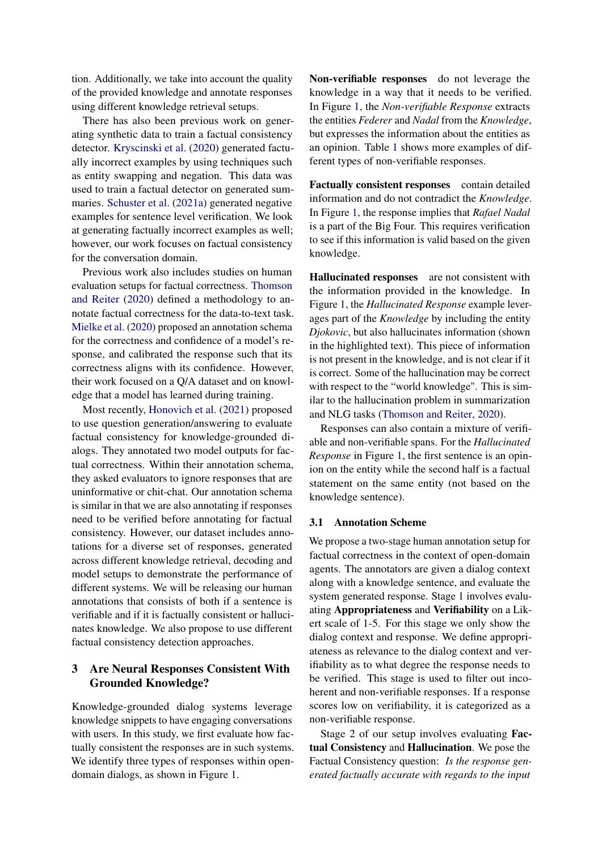tion. Additionally, we take into account the quality of the provided knowledge and annotate responses using different knowledge retrieval setups.

There has also been previous work on generating synthetic data to train a factual consistency detector. [Kryscinski et al.](#page-9-4) [\(2020\)](#page-9-4) generated factually incorrect examples by using techniques such as entity swapping and negation. This data was used to train a factual detector on generated summaries. [Schuster et al.](#page-10-9) [\(2021a\)](#page-10-9) generated negative examples for sentence level verification. We look at generating factually incorrect examples as well; however, our work focuses on factual consistency for the conversation domain.

Previous work also includes studies on human evaluation setups for factual correctness. [Thomson](#page-10-6) [and Reiter](#page-10-6) [\(2020\)](#page-10-6) defined a methodology to annotate factual correctness for the data-to-text task. [Mielke et al.](#page-9-9) [\(2020\)](#page-9-9) proposed an annotation schema for the correctness and confidence of a model's response, and calibrated the response such that its correctness aligns with its confidence. However, their work focused on a Q/A dataset and on knowledge that a model has learned during training.

Most recently, [Honovich et al.](#page-9-8) [\(2021\)](#page-9-8) proposed to use question generation/answering to evaluate factual consistency for knowledge-grounded dialogs. They annotated two model outputs for factual correctness. Within their annotation schema, they asked evaluators to ignore responses that are uninformative or chit-chat. Our annotation schema is similar in that we are also annotating if responses need to be verified before annotating for factual consistency. However, our dataset includes annotations for a diverse set of responses, generated across different knowledge retrieval, decoding and model setups to demonstrate the performance of different systems. We will be releasing our human annotations that consists of both if a sentence is verifiable and if it is factually consistent or hallucinates knowledge. We also propose to use different factual consistency detection approaches.

# 3 Are Neural Responses Consistent With Grounded Knowledge?

Knowledge-grounded dialog systems leverage knowledge snippets to have engaging conversations with users. In this study, we first evaluate how factually consistent the responses are in such systems. We identify three types of responses within opendomain dialogs, as shown in Figure [1.](#page-0-0)

Non-verifiable responses do not leverage the knowledge in a way that it needs to be verified. In Figure [1,](#page-0-0) the *Non-verifiable Response* extracts the entities *Federer* and *Nadal* from the *Knowledge*, but expresses the information about the entities as an opinion. Table [1](#page-3-0) shows more examples of different types of non-verifiable responses.

Factually consistent responses contain detailed information and do not contradict the *Knowledge*. In Figure [1,](#page-0-0) the response implies that *Rafael Nadal* is a part of the Big Four. This requires verification to see if this information is valid based on the given knowledge.

Hallucinated responses are not consistent with the information provided in the knowledge. In Figure [1,](#page-0-0) the *Hallucinated Response* example leverages part of the *Knowledge* by including the entity *Djokovic*, but also hallucinates information (shown in the highlighted text). This piece of information is not present in the knowledge, and is not clear if it is correct. Some of the hallucination may be correct with respect to the "world knowledge". This is similar to the hallucination problem in summarization and NLG tasks [\(Thomson and Reiter,](#page-10-6) [2020\)](#page-10-6).

Responses can also contain a mixture of verifiable and non-verifiable spans. For the *Hallucinated Response* in Figure [1,](#page-0-0) the first sentence is an opinion on the entity while the second half is a factual statement on the same entity (not based on the knowledge sentence).

#### <span id="page-2-0"></span>3.1 Annotation Scheme

We propose a two-stage human annotation setup for factual correctness in the context of open-domain agents. The annotators are given a dialog context along with a knowledge sentence, and evaluate the system generated response. Stage 1 involves evaluating Appropriateness and Verifiability on a Likert scale of 1-5. For this stage we only show the dialog context and response. We define appropriateness as relevance to the dialog context and verifiability as to what degree the response needs to be verified. This stage is used to filter out incoherent and non-verifiable responses. If a response scores low on verifiability, it is categorized as a non-verifiable response.

Stage 2 of our setup involves evaluating Factual Consistency and Hallucination. We pose the Factual Consistency question: *Is the response generated factually accurate with regards to the input*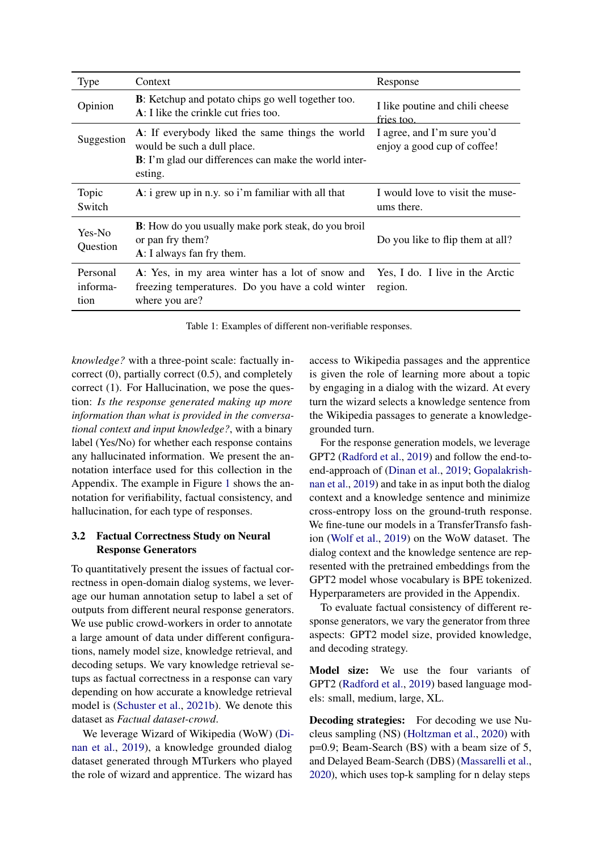<span id="page-3-0"></span>

| Type                         | Context                                                                                                                                                    | Response                                                   |
|------------------------------|------------------------------------------------------------------------------------------------------------------------------------------------------------|------------------------------------------------------------|
| Opinion                      | <b>B</b> : Ketchup and potato chips go well together too.<br>$\bf{A}$ : I like the crinkle cut fries too.                                                  | I like poutine and chili cheese<br>fries too.              |
| Suggestion                   | A: If everybody liked the same things the world<br>would be such a dull place.<br><b>B</b> : I'm glad our differences can make the world inter-<br>esting. | I agree, and I'm sure you'd<br>enjoy a good cup of coffee! |
| Topic<br>Switch              | A: i grew up in n.y. so i'm familiar with all that                                                                                                         | I would love to visit the muse-<br>ums there.              |
| Yes-No<br>Question           | <b>B</b> : How do you usually make pork steak, do you broil<br>or pan fry them?<br>A: I always fan fry them.                                               | Do you like to flip them at all?                           |
| Personal<br>informa-<br>tion | A: Yes, in my area winter has a lot of snow and<br>freezing temperatures. Do you have a cold winter<br>where you are?                                      | Yes, I do. I live in the Arctic<br>region.                 |

Table 1: Examples of different non-verifiable responses.

*knowledge?* with a three-point scale: factually incorrect (0), partially correct (0.5), and completely correct (1). For Hallucination, we pose the question: *Is the response generated making up more information than what is provided in the conversational context and input knowledge?*, with a binary label (Yes/No) for whether each response contains any hallucinated information. We present the annotation interface used for this collection in the Appendix. The example in Figure [1](#page-0-0) shows the annotation for verifiability, factual consistency, and hallucination, for each type of responses.

## 3.2 Factual Correctness Study on Neural Response Generators

To quantitatively present the issues of factual correctness in open-domain dialog systems, we leverage our human annotation setup to label a set of outputs from different neural response generators. We use public crowd-workers in order to annotate a large amount of data under different configurations, namely model size, knowledge retrieval, and decoding setups. We vary knowledge retrieval setups as factual correctness in a response can vary depending on how accurate a knowledge retrieval model is [\(Schuster et al.,](#page-10-10) [2021b\)](#page-10-10). We denote this dataset as *Factual dataset-crowd*.

We leverage Wizard of Wikipedia (WoW) [\(Di](#page-8-2)[nan et al.,](#page-8-2) [2019\)](#page-8-2), a knowledge grounded dialog dataset generated through MTurkers who played the role of wizard and apprentice. The wizard has

access to Wikipedia passages and the apprentice is given the role of learning more about a topic by engaging in a dialog with the wizard. At every turn the wizard selects a knowledge sentence from the Wikipedia passages to generate a knowledgegrounded turn.

For the response generation models, we leverage GPT2 [\(Radford et al.,](#page-9-10) [2019\)](#page-9-10) and follow the end-toend-approach of [\(Dinan et al.,](#page-8-2) [2019;](#page-8-2) [Gopalakrish](#page-9-11)[nan et al.,](#page-9-11) [2019\)](#page-9-11) and take in as input both the dialog context and a knowledge sentence and minimize cross-entropy loss on the ground-truth response. We fine-tune our models in a TransferTransfo fashion [\(Wolf et al.,](#page-10-11) [2019\)](#page-10-11) on the WoW dataset. The dialog context and the knowledge sentence are represented with the pretrained embeddings from the GPT2 model whose vocabulary is BPE tokenized. Hyperparameters are provided in the Appendix.

To evaluate factual consistency of different response generators, we vary the generator from three aspects: GPT2 model size, provided knowledge, and decoding strategy.

Model size: We use the four variants of GPT2 [\(Radford et al.,](#page-9-10) [2019\)](#page-9-10) based language models: small, medium, large, XL.

Decoding strategies: For decoding we use Nucleus sampling (NS) [\(Holtzman et al.,](#page-9-12) [2020\)](#page-9-12) with p=0.9; Beam-Search (BS) with a beam size of 5, and Delayed Beam-Search (DBS) [\(Massarelli et al.,](#page-9-6) [2020\)](#page-9-6), which uses top-k sampling for n delay steps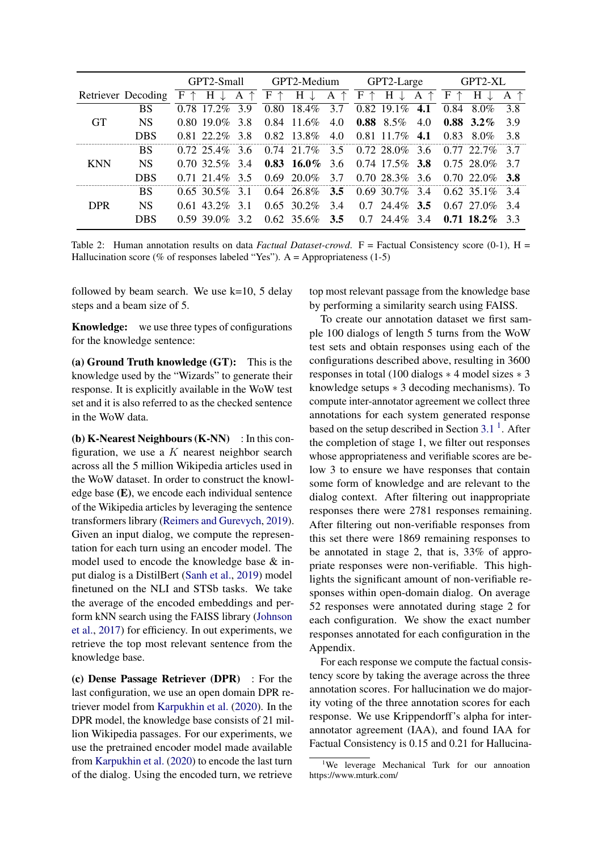<span id="page-4-1"></span>

|            |                    |      | GPT2-Small     |     | GPT2-Medium                    |                     | GPT2-Large    |        |                    | GPT2-XL |      |                    |     |
|------------|--------------------|------|----------------|-----|--------------------------------|---------------------|---------------|--------|--------------------|---------|------|--------------------|-----|
|            | Retriever Decoding | F    | Н              | A   | $\boldsymbol{\mathrm{F}}$<br>↑ | H                   | ↑<br>A        | F<br>个 | H                  | ↑<br>A  | F    | Н                  |     |
|            | <b>BS</b>          |      | $0.78$ 17.2\%  | 3.9 | 0.80                           | 18.4%               | 3.7           |        | $0.82$ 19.1\%      | 4.1     | 0.84 | 8.0%               | 3.8 |
| <b>GT</b>  | <b>NS</b>          |      | $0.8019.0\%$   | 3.8 | 0.84                           | 11.6%               | 4.0           | 0.88   | $8.5\%$            | 4.0     |      | $0.88$ 3.2\%       | 3.9 |
|            | DBS                |      | $0.81$ 22.2%   | 3.8 | 0.82                           | 13.8%               | 4.0           |        | $0.81$ 11.7%       | 4.1     | 0.83 | 8.0%               | 3.8 |
|            | BS                 |      | $0.72, 25.4\%$ | 3.6 | 0.74                           | 21.7%               | $3.5^{\circ}$ |        | $0.7228.0\%$       | 3.6     |      | $0.77$ 22.7%       | 37  |
| <b>KNN</b> | <b>NS</b>          |      | $0.70, 32.5\%$ | 3.4 |                                | $0.83 \quad 16.0\%$ | 3.6           |        | $0.74$ 17.5\% 3.8  |         |      | $0.75, 28.0\%$ 3.7 |     |
|            | DBS                | 0.71 | 21.4%          | 35  | 0.69                           | $20.0\%$            | 3.7           |        | $0.7028.3\%$       | 3.6     |      | $0.70220\%$ 3.8    |     |
|            | <b>BS</b>          |      | $0.65, 30.5\%$ | 3.1 |                                | $0.64$ 26.8%        | 3.5           |        | $0.69, 30.7\%$ 3.4 |         |      | $0.62, 35.1\%$ 3.4 |     |
| <b>DPR</b> | <b>NS</b>          |      | $0.61$ 43.2\%  | 31  |                                | $0.65, 30.2\%$      | 3.4           | 0.7    | 24.4%              | 3.5     |      | $0.67$ 27.0\% 3.4  |     |
|            | DBS                |      | $0.59.390\%$   | 32  |                                | $0.62, 35.6\%$      | 3.5           | 0.7    | 24.4%              | 3.4     |      | $0.71$ 18.2\% 3.3  |     |

Table 2: Human annotation results on data *Factual Dataset-crowd*.  $F =$  Factual Consistency score (0-1),  $H =$ Hallucination score (% of responses labeled "Yes"). A = Appropriateness  $(1-5)$ 

followed by beam search. We use k=10, 5 delay steps and a beam size of 5.

Knowledge: we use three types of configurations for the knowledge sentence:

(a) Ground Truth knowledge (GT): This is the knowledge used by the "Wizards" to generate their response. It is explicitly available in the WoW test set and it is also referred to as the checked sentence in the WoW data.

(b) K-Nearest Neighbours  $(K-NN)$ : In this configuration, we use a  $K$  nearest neighbor search across all the 5 million Wikipedia articles used in the WoW dataset. In order to construct the knowledge base (E), we encode each individual sentence of the Wikipedia articles by leveraging the sentence transformers library [\(Reimers and Gurevych,](#page-10-12) [2019\)](#page-10-12). Given an input dialog, we compute the representation for each turn using an encoder model. The model used to encode the knowledge base & input dialog is a DistilBert [\(Sanh et al.,](#page-10-13) [2019\)](#page-10-13) model finetuned on the NLI and STSb tasks. We take the average of the encoded embeddings and perform kNN search using the FAISS library [\(Johnson](#page-9-13) [et al.,](#page-9-13) [2017\)](#page-9-13) for efficiency. In out experiments, we retrieve the top most relevant sentence from the knowledge base.

(c) Dense Passage Retriever (DPR) : For the last configuration, we use an open domain DPR retriever model from [Karpukhin et al.](#page-9-14) [\(2020\)](#page-9-14). In the DPR model, the knowledge base consists of 21 million Wikipedia passages. For our experiments, we use the pretrained encoder model made available from [Karpukhin et al.](#page-9-14) [\(2020\)](#page-9-14) to encode the last turn of the dialog. Using the encoded turn, we retrieve

top most relevant passage from the knowledge base by performing a similarity search using FAISS.

To create our annotation dataset we first sample 100 dialogs of length 5 turns from the WoW test sets and obtain responses using each of the configurations described above, resulting in 3600 responses in total (100 dialogs ∗ 4 model sizes ∗ 3 knowledge setups ∗ 3 decoding mechanisms). To compute inter-annotator agreement we collect three annotations for each system generated response based on the setup described in Section  $3.1<sup>1</sup>$  $3.1<sup>1</sup>$  $3.1<sup>1</sup>$  $3.1<sup>1</sup>$ . After the completion of stage 1, we filter out responses whose appropriateness and verifiable scores are below 3 to ensure we have responses that contain some form of knowledge and are relevant to the dialog context. After filtering out inappropriate responses there were 2781 responses remaining. After filtering out non-verifiable responses from this set there were 1869 remaining responses to be annotated in stage 2, that is, 33% of appropriate responses were non-verifiable. This highlights the significant amount of non-verifiable responses within open-domain dialog. On average 52 responses were annotated during stage 2 for each configuration. We show the exact number responses annotated for each configuration in the Appendix.

For each response we compute the factual consistency score by taking the average across the three annotation scores. For hallucination we do majority voting of the three annotation scores for each response. We use Krippendorff's alpha for interannotator agreement (IAA), and found IAA for Factual Consistency is 0.15 and 0.21 for Hallucina-

<span id="page-4-0"></span><sup>&</sup>lt;sup>1</sup>We leverage Mechanical Turk for our annoation https://www.mturk.com/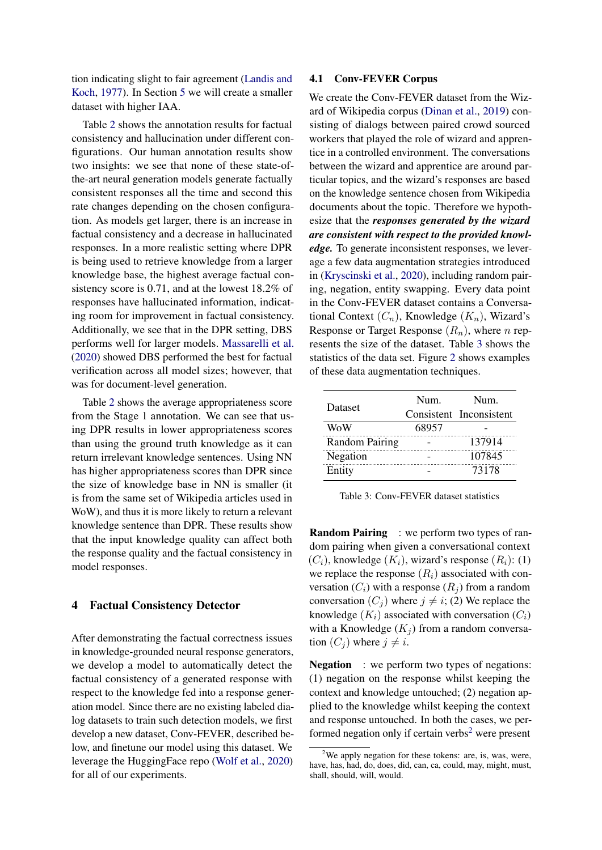tion indicating slight to fair agreement [\(Landis and](#page-9-15) [Koch,](#page-9-15) [1977\)](#page-9-15). In Section [5](#page-7-0) we will create a smaller dataset with higher IAA.

Table [2](#page-4-1) shows the annotation results for factual consistency and hallucination under different configurations. Our human annotation results show two insights: we see that none of these state-ofthe-art neural generation models generate factually consistent responses all the time and second this rate changes depending on the chosen configuration. As models get larger, there is an increase in factual consistency and a decrease in hallucinated responses. In a more realistic setting where DPR is being used to retrieve knowledge from a larger knowledge base, the highest average factual consistency score is 0.71, and at the lowest 18.2% of responses have hallucinated information, indicating room for improvement in factual consistency. Additionally, we see that in the DPR setting, DBS performs well for larger models. [Massarelli et al.](#page-9-6) [\(2020\)](#page-9-6) showed DBS performed the best for factual verification across all model sizes; however, that was for document-level generation.

Table [2](#page-4-1) shows the average appropriateness score from the Stage 1 annotation. We can see that using DPR results in lower appropriateness scores than using the ground truth knowledge as it can return irrelevant knowledge sentences. Using NN has higher appropriateness scores than DPR since the size of knowledge base in NN is smaller (it is from the same set of Wikipedia articles used in WoW), and thus it is more likely to return a relevant knowledge sentence than DPR. These results show that the input knowledge quality can affect both the response quality and the factual consistency in model responses.

### 4 Factual Consistency Detector

After demonstrating the factual correctness issues in knowledge-grounded neural response generators, we develop a model to automatically detect the factual consistency of a generated response with respect to the knowledge fed into a response generation model. Since there are no existing labeled dialog datasets to train such detection models, we first develop a new dataset, Conv-FEVER, described below, and finetune our model using this dataset. We leverage the HuggingFace repo [\(Wolf et al.,](#page-10-14) [2020\)](#page-10-14) for all of our experiments.

#### <span id="page-5-2"></span>4.1 Conv-FEVER Corpus

We create the Conv-FEVER dataset from the Wizard of Wikipedia corpus [\(Dinan et al.,](#page-8-2) [2019\)](#page-8-2) consisting of dialogs between paired crowd sourced workers that played the role of wizard and apprentice in a controlled environment. The conversations between the wizard and apprentice are around particular topics, and the wizard's responses are based on the knowledge sentence chosen from Wikipedia documents about the topic. Therefore we hypothesize that the *responses generated by the wizard are consistent with respect to the provided knowledge.* To generate inconsistent responses, we leverage a few data augmentation strategies introduced in [\(Kryscinski et al.,](#page-9-4) [2020\)](#page-9-4), including random pairing, negation, entity swapping. Every data point in the Conv-FEVER dataset contains a Conversational Context  $(C_n)$ , Knowledge  $(K_n)$ , Wizard's Response or Target Response  $(R_n)$ , where n represents the size of the dataset. Table [3](#page-5-0) shows the statistics of the data set. Figure [2](#page-6-0) shows examples of these data augmentation techniques.

<span id="page-5-0"></span>

| Dataset               | Num.  | Num.                    |
|-----------------------|-------|-------------------------|
|                       |       | Consistent Inconsistent |
| WoW                   | 68957 |                         |
| <b>Random Pairing</b> |       | 137914                  |
| Negation              |       | 107845                  |
| Entity                |       | 73178                   |

Table 3: Conv-FEVER dataset statistics

**Random Pairing** : we perform two types of random pairing when given a conversational context  $(C_i)$ , knowledge  $(K_i)$ , wizard's response  $(R_i)$ : (1) we replace the response  $(R<sub>i</sub>)$  associated with conversation  $(C_i)$  with a response  $(R_i)$  from a random conversation  $(C_i)$  where  $j \neq i$ ; (2) We replace the knowledge  $(K_i)$  associated with conversation  $(C_i)$ with a Knowledge  $(K_i)$  from a random conversation  $(C_i)$  where  $j \neq i$ .

Negation : we perform two types of negations: (1) negation on the response whilst keeping the context and knowledge untouched; (2) negation applied to the knowledge whilst keeping the context and response untouched. In both the cases, we per-formed negation only if certain verbs<sup>[2](#page-5-1)</sup> were present

<span id="page-5-1"></span><sup>&</sup>lt;sup>2</sup>We apply negation for these tokens: are, is, was, were, have, has, had, do, does, did, can, ca, could, may, might, must, shall, should, will, would.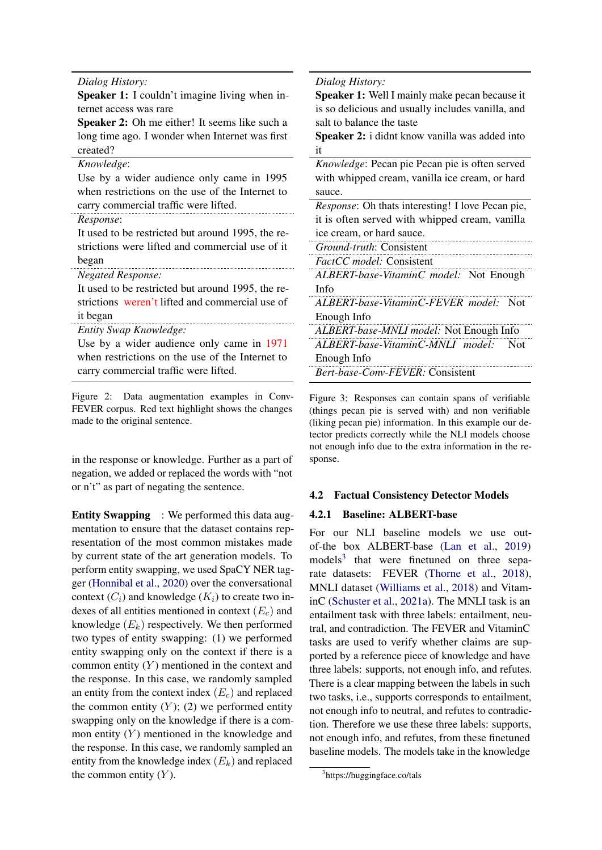<span id="page-6-0"></span>*Dialog History:*

Speaker 1: I couldn't imagine living when internet access was rare

Speaker 2: Oh me either! It seems like such a long time ago. I wonder when Internet was first created?

| Knowledge:                                        | <i>Knowledge</i> : Pecan   |
|---------------------------------------------------|----------------------------|
| Use by a wider audience only came in 1995         | with whipped crear         |
| when restrictions on the use of the Internet to   | sauce.                     |
| carry commercial traffic were lifted.             | <i>Response</i> : Oh thats |
| Response:                                         | it is often served w       |
| It used to be restricted but around 1995, the re- | ice cream, or hard s       |
| strictions were lifted and commercial use of it   | Ground-truth: Cons         |
| began                                             | <i>FactCC model:</i> Cor   |
| <i>Negated Response:</i>                          | ALBERT-base-Vita           |
| It used to be restricted but around 1995, the re- | Info                       |
| strictions weren't lifted and commercial use of   | ALBERT-base-Vita           |
| it began                                          | Enough Info                |
| Entity Swap Knowledge:                            | ALBERT-base-MNI            |
| Use by a wider audience only came in 1971         | ALBERT-base-Vita           |
| when restrictions on the use of the Internet to   | Enough Info                |
| carry commercial traffic were lifted.             | Bert-base-Conv-FE          |

Figure 2: Data augmentation examples in Conv-FEVER corpus. Red text highlight shows the changes made to the original sentence.

in the response or knowledge. Further as a part of negation, we added or replaced the words with "not or n't" as part of negating the sentence.

Entity Swapping : We performed this data augmentation to ensure that the dataset contains representation of the most common mistakes made by current state of the art generation models. To perform entity swapping, we used SpaCY NER tagger [\(Honnibal et al.,](#page-9-16) [2020\)](#page-9-16) over the conversational context  $(C_i)$  and knowledge  $(K_i)$  to create two indexes of all entities mentioned in context  $(E_c)$  and knowledge  $(E_k)$  respectively. We then performed two types of entity swapping: (1) we performed entity swapping only on the context if there is a common entity  $(Y)$  mentioned in the context and the response. In this case, we randomly sampled an entity from the context index  $(E_c)$  and replaced the common entity  $(Y)$ ; (2) we performed entity swapping only on the knowledge if there is a common entity  $(Y)$  mentioned in the knowledge and the response. In this case, we randomly sampled an entity from the knowledge index  $(E_k)$  and replaced the common entity  $(Y)$ .

<span id="page-6-2"></span>*Dialog History:*

Speaker 1: Well I mainly make pecan because it is so delicious and usually includes vanilla, and salt to balance the taste

Speaker 2: i didnt know vanilla was added into it

pie Pecan pie is often served m, vanilla ice cream, or hard *interesting! I love Pecan pie.* 

vith whipped cream, vanilla sauce.

*Ground-truth*: Consistent

*FactCC model:* Consistent

*ALBERT-base-VitaminC model:* Not Enough

*ALBERT-base-VitaminC-FEVER model:* Not

*ALBERT-base-MNLI model:* Not Enough Info *ALBERT-base-VitaminC-MNLI model:* Not *Bert-base-Conv-FEVER:* Consistent

Figure 3: Responses can contain spans of verifiable (things pecan pie is served with) and non verifiable (liking pecan pie) information. In this example our detector predicts correctly while the NLI models choose not enough info due to the extra information in the response.

### 4.2 Factual Consistency Detector Models

### 4.2.1 Baseline: ALBERT-base

For our NLI baseline models we use outof-the box ALBERT-base [\(Lan et al.,](#page-9-17) [2019\)](#page-9-17) models<sup>[3](#page-6-1)</sup> that were finetuned on three separate datasets: FEVER [\(Thorne et al.,](#page-10-15) [2018\)](#page-10-15), MNLI dataset [\(Williams et al.,](#page-10-16) [2018\)](#page-10-16) and VitaminC [\(Schuster et al.,](#page-10-9) [2021a\)](#page-10-9). The MNLI task is an entailment task with three labels: entailment, neutral, and contradiction. The FEVER and VitaminC tasks are used to verify whether claims are supported by a reference piece of knowledge and have three labels: supports, not enough info, and refutes. There is a clear mapping between the labels in such two tasks, i.e., supports corresponds to entailment, not enough info to neutral, and refutes to contradiction. Therefore we use these three labels: supports, not enough info, and refutes, from these finetuned baseline models. The models take in the knowledge

<span id="page-6-1"></span><sup>3</sup> https://huggingface.co/tals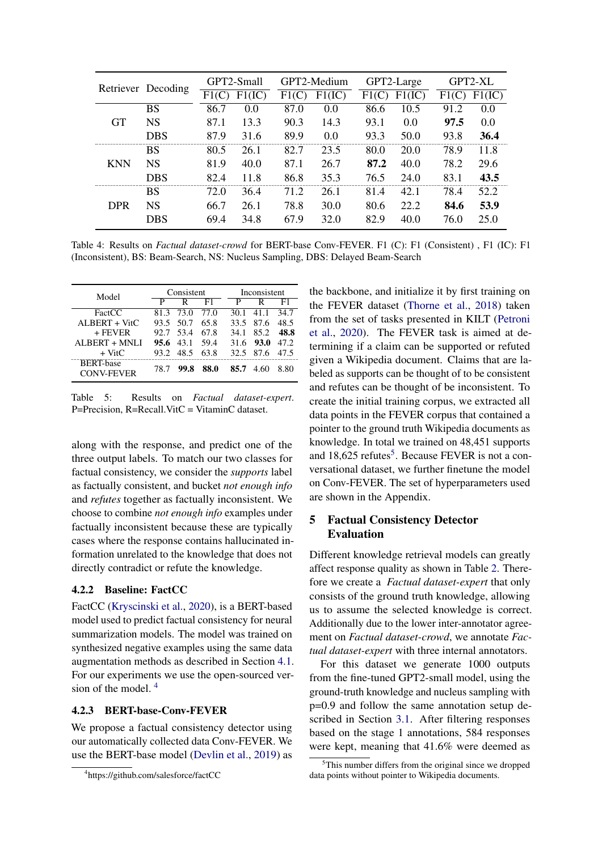<span id="page-7-4"></span>

|            | Retriever Decoding | GPT2-Small |        |       | GPT2-Medium |      | GPT2-Large | GPT2-XL |        |
|------------|--------------------|------------|--------|-------|-------------|------|------------|---------|--------|
|            |                    | F1(C)      | F1(IC) | F1(C) | F1(IC)      | F1(C | F1(IC)     | F1      | F1(IC) |
|            | <b>BS</b>          | 86.7       | 0.0    | 87.0  | 0.0         | 86.6 | 10.5       | 91.2    | 0.0    |
| <b>GT</b>  | <b>NS</b>          | 87.1       | 13.3   | 90.3  | 14.3        | 93.1 | 0.0        | 97.5    | 0.0    |
|            | DBS                | 87.9       | 31.6   | 89.9  | 0.0         | 93.3 | 50.0       | 93.8    | 36.4   |
|            | <b>BS</b>          | 80.5       | 26.1   | 82.7  | 23.5        | 80.0 | 20.0       | 78.9    | 11.8   |
| <b>KNN</b> | <b>NS</b>          | 81.9       | 40.0   | 87.1  | 26.7        | 87.2 | 40.0       | 78.2    | 29.6   |
|            | <b>DBS</b>         | 82.4       | 11.8   | 86.8  | 35.3        | 76.5 | 24.0       | 83.1    | 43.5   |
|            | BS                 | 72.0       | 36.4   | 71.2  | 26.1        | 81.4 | 42.1       | 78.4    | 52.2   |
| <b>DPR</b> | NS                 | 66.7       | 26.1   | 78.8  | 30.0        | 80.6 | 22.2       | 84.6    | 53.9   |
|            | DBS                | 69.4       | 34.8   | 67.9  | 32.0        | 82.9 | 40.0       | 76.0    | 25.0   |

Table 4: Results on *Factual dataset-crowd* for BERT-base Conv-FEVER. F1 (C): F1 (Consistent) , F1 (IC): F1 (Inconsistent), BS: Beam-Search, NS: Nucleus Sampling, DBS: Delayed Beam-Search

<span id="page-7-3"></span>

| Model                                 |      | Consistent        |      |      | Inconsistent |      |  |  |
|---------------------------------------|------|-------------------|------|------|--------------|------|--|--|
|                                       | Р    | R                 | F1   | р    | R            | F1   |  |  |
| FactCC                                | 81.3 | - 73.0            | 77.O | 30.1 | 41.1         | 34.7 |  |  |
| $ALBERT + VitC$                       |      | 93.5 50.7         | 65.8 |      | 33.5 87.6    | 48.5 |  |  |
| $+$ FEVER                             |      | 92.7 53.4         | 67.8 | 34.1 | 85.2         | 48.8 |  |  |
| ALBERT + MNLI                         |      | $95.6 \quad 43.1$ | 59.4 |      | 31.6 93.0    | 47.2 |  |  |
| $+$ VitC                              |      | 93.2 48.5         | 63.8 | 32.5 | 87.6         | 47.5 |  |  |
| <b>BERT-base</b><br><b>CONV-FEVER</b> | 78.7 | 99.8              | 88.0 | 85.7 | 4.60         | 8.80 |  |  |

Table 5: Results on *Factual dataset-expert*. P=Precision, R=Recall.VitC = VitaminC dataset.

along with the response, and predict one of the three output labels. To match our two classes for factual consistency, we consider the *supports* label as factually consistent, and bucket *not enough info* and *refutes* together as factually inconsistent. We choose to combine *not enough info* examples under factually inconsistent because these are typically cases where the response contains hallucinated information unrelated to the knowledge that does not directly contradict or refute the knowledge.

## 4.2.2 Baseline: FactCC

FactCC [\(Kryscinski et al.,](#page-9-4) [2020\)](#page-9-4), is a BERT-based model used to predict factual consistency for neural summarization models. The model was trained on synthesized negative examples using the same data augmentation methods as described in Section [4.1.](#page-5-2) For our experiments we use the open-sourced version of the model. [4](#page-7-1)

### 4.2.3 BERT-base-Conv-FEVER

We propose a factual consistency detector using our automatically collected data Conv-FEVER. We use the BERT-base model [\(Devlin et al.,](#page-8-4) [2019\)](#page-8-4) as the backbone, and initialize it by first training on the FEVER dataset [\(Thorne et al.,](#page-10-15) [2018\)](#page-10-15) taken from the set of tasks presented in KILT [\(Petroni](#page-9-18) [et al.,](#page-9-18) [2020\)](#page-9-18). The FEVER task is aimed at determining if a claim can be supported or refuted given a Wikipedia document. Claims that are labeled as supports can be thought of to be consistent and refutes can be thought of be inconsistent. To create the initial training corpus, we extracted all data points in the FEVER corpus that contained a pointer to the ground truth Wikipedia documents as knowledge. In total we trained on 48,451 supports and  $18,625$  $18,625$  refutes<sup>5</sup>. Because FEVER is not a conversational dataset, we further finetune the model on Conv-FEVER. The set of hyperparameters used are shown in the Appendix.

## <span id="page-7-0"></span>5 Factual Consistency Detector Evaluation

Different knowledge retrieval models can greatly affect response quality as shown in Table [2.](#page-4-1) Therefore we create a *Factual dataset-expert* that only consists of the ground truth knowledge, allowing us to assume the selected knowledge is correct. Additionally due to the lower inter-annotator agreement on *Factual dataset-crowd*, we annotate *Factual dataset-expert* with three internal annotators.

For this dataset we generate 1000 outputs from the fine-tuned GPT2-small model, using the ground-truth knowledge and nucleus sampling with p=0.9 and follow the same annotation setup described in Section [3.1.](#page-2-0) After filtering responses based on the stage 1 annotations, 584 responses were kept, meaning that 41.6% were deemed as

<span id="page-7-1"></span><sup>4</sup> https://github.com/salesforce/factCC

<span id="page-7-2"></span> $5$ This number differs from the original since we dropped data points without pointer to Wikipedia documents.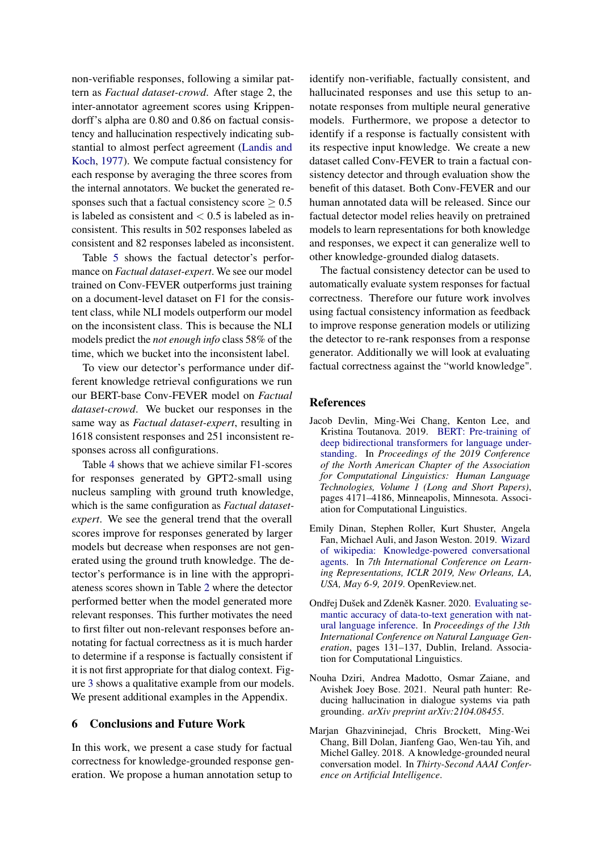non-verifiable responses, following a similar pattern as *Factual dataset-crowd*. After stage 2, the inter-annotator agreement scores using Krippendorff's alpha are 0.80 and 0.86 on factual consistency and hallucination respectively indicating substantial to almost perfect agreement [\(Landis and](#page-9-15) [Koch,](#page-9-15) [1977\)](#page-9-15). We compute factual consistency for each response by averaging the three scores from the internal annotators. We bucket the generated responses such that a factual consistency score  $\geq 0.5$ is labeled as consistent and  $< 0.5$  is labeled as inconsistent. This results in 502 responses labeled as consistent and 82 responses labeled as inconsistent.

Table [5](#page-7-3) shows the factual detector's performance on *Factual dataset-expert*. We see our model trained on Conv-FEVER outperforms just training on a document-level dataset on F1 for the consistent class, while NLI models outperform our model on the inconsistent class. This is because the NLI models predict the *not enough info* class 58% of the time, which we bucket into the inconsistent label.

To view our detector's performance under different knowledge retrieval configurations we run our BERT-base Conv-FEVER model on *Factual dataset-crowd*. We bucket our responses in the same way as *Factual dataset-expert*, resulting in 1618 consistent responses and 251 inconsistent responses across all configurations.

Table [4](#page-7-4) shows that we achieve similar F1-scores for responses generated by GPT2-small using nucleus sampling with ground truth knowledge, which is the same configuration as *Factual datasetexpert*. We see the general trend that the overall scores improve for responses generated by larger models but decrease when responses are not generated using the ground truth knowledge. The detector's performance is in line with the appropriateness scores shown in Table [2](#page-4-1) where the detector performed better when the model generated more relevant responses. This further motivates the need to first filter out non-relevant responses before annotating for factual correctness as it is much harder to determine if a response is factually consistent if it is not first appropriate for that dialog context. Figure [3](#page-6-2) shows a qualitative example from our models. We present additional examples in the Appendix.

## 6 Conclusions and Future Work

In this work, we present a case study for factual correctness for knowledge-grounded response generation. We propose a human annotation setup to

identify non-verifiable, factually consistent, and hallucinated responses and use this setup to annotate responses from multiple neural generative models. Furthermore, we propose a detector to identify if a response is factually consistent with its respective input knowledge. We create a new dataset called Conv-FEVER to train a factual consistency detector and through evaluation show the benefit of this dataset. Both Conv-FEVER and our human annotated data will be released. Since our factual detector model relies heavily on pretrained models to learn representations for both knowledge and responses, we expect it can generalize well to other knowledge-grounded dialog datasets.

The factual consistency detector can be used to automatically evaluate system responses for factual correctness. Therefore our future work involves using factual consistency information as feedback to improve response generation models or utilizing the detector to re-rank responses from a response generator. Additionally we will look at evaluating factual correctness against the "world knowledge".

#### References

- <span id="page-8-4"></span>Jacob Devlin, Ming-Wei Chang, Kenton Lee, and Kristina Toutanova. 2019. [BERT: Pre-training of](https://doi.org/10.18653/v1/N19-1423) [deep bidirectional transformers for language under](https://doi.org/10.18653/v1/N19-1423)[standing.](https://doi.org/10.18653/v1/N19-1423) In *Proceedings of the 2019 Conference of the North American Chapter of the Association for Computational Linguistics: Human Language Technologies, Volume 1 (Long and Short Papers)*, pages 4171–4186, Minneapolis, Minnesota. Association for Computational Linguistics.
- <span id="page-8-2"></span>Emily Dinan, Stephen Roller, Kurt Shuster, Angela Fan, Michael Auli, and Jason Weston. 2019. [Wizard](https://openreview.net/forum?id=r1l73iRqKm) [of wikipedia: Knowledge-powered conversational](https://openreview.net/forum?id=r1l73iRqKm) [agents.](https://openreview.net/forum?id=r1l73iRqKm) In *7th International Conference on Learning Representations, ICLR 2019, New Orleans, LA, USA, May 6-9, 2019*. OpenReview.net.
- <span id="page-8-1"></span>Ondřej Dušek and Zdeněk Kasner. 2020. [Evaluating se](https://www.aclweb.org/anthology/2020.inlg-1.19)[mantic accuracy of data-to-text generation with nat](https://www.aclweb.org/anthology/2020.inlg-1.19)[ural language inference.](https://www.aclweb.org/anthology/2020.inlg-1.19) In *Proceedings of the 13th International Conference on Natural Language Generation*, pages 131–137, Dublin, Ireland. Association for Computational Linguistics.
- <span id="page-8-3"></span>Nouha Dziri, Andrea Madotto, Osmar Zaiane, and Avishek Joey Bose. 2021. Neural path hunter: Reducing hallucination in dialogue systems via path grounding. *arXiv preprint arXiv:2104.08455*.
- <span id="page-8-0"></span>Marjan Ghazvininejad, Chris Brockett, Ming-Wei Chang, Bill Dolan, Jianfeng Gao, Wen-tau Yih, and Michel Galley. 2018. A knowledge-grounded neural conversation model. In *Thirty-Second AAAI Conference on Artificial Intelligence*.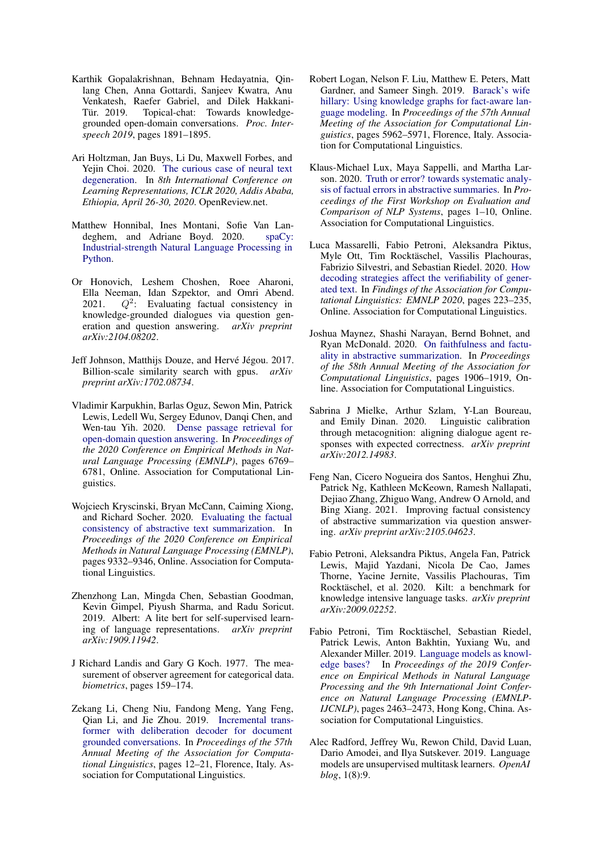- <span id="page-9-11"></span>Karthik Gopalakrishnan, Behnam Hedayatnia, Qinlang Chen, Anna Gottardi, Sanjeev Kwatra, Anu Venkatesh, Raefer Gabriel, and Dilek Hakkani-Tür. 2019. Topical-chat: Towards knowledgegrounded open-domain conversations. *Proc. Interspeech 2019*, pages 1891–1895.
- <span id="page-9-12"></span>Ari Holtzman, Jan Buys, Li Du, Maxwell Forbes, and Yejin Choi. 2020. [The curious case of neural text](https://openreview.net/forum?id=rygGQyrFvH) [degeneration.](https://openreview.net/forum?id=rygGQyrFvH) In *8th International Conference on Learning Representations, ICLR 2020, Addis Ababa, Ethiopia, April 26-30, 2020*. OpenReview.net.
- <span id="page-9-16"></span>Matthew Honnibal, Ines Montani, Sofie Van Landeghem, and Adriane Boyd. 2020. [spaCy:](https://doi.org/10.5281/zenodo.1212303) [Industrial-strength Natural Language Processing in](https://doi.org/10.5281/zenodo.1212303) [Python.](https://doi.org/10.5281/zenodo.1212303)
- <span id="page-9-8"></span>Or Honovich, Leshem Choshen, Roee Aharoni, Ella Neeman, Idan Szpektor, and Omri Abend.  $2021.$  $Q^2$ : Evaluating factual consistency in knowledge-grounded dialogues via question generation and question answering. *arXiv preprint arXiv:2104.08202*.
- <span id="page-9-13"></span>Jeff Johnson, Matthijs Douze, and Hervé Jégou. 2017. Billion-scale similarity search with gpus. *arXiv preprint arXiv:1702.08734*.
- <span id="page-9-14"></span>Vladimir Karpukhin, Barlas Oguz, Sewon Min, Patrick Lewis, Ledell Wu, Sergey Edunov, Danqi Chen, and Wen-tau Yih. 2020. [Dense passage retrieval for](https://doi.org/10.18653/v1/2020.emnlp-main.550) [open-domain question answering.](https://doi.org/10.18653/v1/2020.emnlp-main.550) In *Proceedings of the 2020 Conference on Empirical Methods in Natural Language Processing (EMNLP)*, pages 6769– 6781, Online. Association for Computational Linguistics.
- <span id="page-9-4"></span>Wojciech Kryscinski, Bryan McCann, Caiming Xiong, and Richard Socher. 2020. [Evaluating the factual](https://doi.org/10.18653/v1/2020.emnlp-main.750) [consistency of abstractive text summarization.](https://doi.org/10.18653/v1/2020.emnlp-main.750) In *Proceedings of the 2020 Conference on Empirical Methods in Natural Language Processing (EMNLP)*, pages 9332–9346, Online. Association for Computational Linguistics.
- <span id="page-9-17"></span>Zhenzhong Lan, Mingda Chen, Sebastian Goodman, Kevin Gimpel, Piyush Sharma, and Radu Soricut. 2019. Albert: A lite bert for self-supervised learning of language representations. *arXiv preprint arXiv:1909.11942*.
- <span id="page-9-15"></span>J Richard Landis and Gary G Koch. 1977. The measurement of observer agreement for categorical data. *biometrics*, pages 159–174.
- <span id="page-9-7"></span>Zekang Li, Cheng Niu, Fandong Meng, Yang Feng, Qian Li, and Jie Zhou. 2019. [Incremental trans](https://doi.org/10.18653/v1/P19-1002)[former with deliberation decoder for document](https://doi.org/10.18653/v1/P19-1002) [grounded conversations.](https://doi.org/10.18653/v1/P19-1002) In *Proceedings of the 57th Annual Meeting of the Association for Computational Linguistics*, pages 12–21, Florence, Italy. Association for Computational Linguistics.
- <span id="page-9-1"></span>Robert Logan, Nelson F. Liu, Matthew E. Peters, Matt Gardner, and Sameer Singh. 2019. [Barack's wife](https://doi.org/10.18653/v1/P19-1598) [hillary: Using knowledge graphs for fact-aware lan](https://doi.org/10.18653/v1/P19-1598)[guage modeling.](https://doi.org/10.18653/v1/P19-1598) In *Proceedings of the 57th Annual Meeting of the Association for Computational Linguistics*, pages 5962–5971, Florence, Italy. Association for Computational Linguistics.
- <span id="page-9-3"></span>Klaus-Michael Lux, Maya Sappelli, and Martha Larson. 2020. [Truth or error? towards systematic analy](https://doi.org/10.18653/v1/2020.eval4nlp-1.1)[sis of factual errors in abstractive summaries.](https://doi.org/10.18653/v1/2020.eval4nlp-1.1) In *Proceedings of the First Workshop on Evaluation and Comparison of NLP Systems*, pages 1–10, Online. Association for Computational Linguistics.
- <span id="page-9-6"></span>Luca Massarelli, Fabio Petroni, Aleksandra Piktus, Myle Ott, Tim Rocktäschel, Vassilis Plachouras, Fabrizio Silvestri, and Sebastian Riedel. 2020. [How](https://doi.org/10.18653/v1/2020.findings-emnlp.22) [decoding strategies affect the verifiability of gener](https://doi.org/10.18653/v1/2020.findings-emnlp.22)[ated text.](https://doi.org/10.18653/v1/2020.findings-emnlp.22) In *Findings of the Association for Computational Linguistics: EMNLP 2020*, pages 223–235, Online. Association for Computational Linguistics.
- <span id="page-9-2"></span>Joshua Maynez, Shashi Narayan, Bernd Bohnet, and Ryan McDonald. 2020. [On faithfulness and factu](https://doi.org/10.18653/v1/2020.acl-main.173)[ality in abstractive summarization.](https://doi.org/10.18653/v1/2020.acl-main.173) In *Proceedings of the 58th Annual Meeting of the Association for Computational Linguistics*, pages 1906–1919, Online. Association for Computational Linguistics.
- <span id="page-9-9"></span>Sabrina J Mielke, Arthur Szlam, Y-Lan Boureau, and Emily Dinan. 2020. Linguistic calibration through metacognition: aligning dialogue agent responses with expected correctness. *arXiv preprint arXiv:2012.14983*.
- <span id="page-9-5"></span>Feng Nan, Cicero Nogueira dos Santos, Henghui Zhu, Patrick Ng, Kathleen McKeown, Ramesh Nallapati, Dejiao Zhang, Zhiguo Wang, Andrew O Arnold, and Bing Xiang. 2021. Improving factual consistency of abstractive summarization via question answering. *arXiv preprint arXiv:2105.04623*.
- <span id="page-9-18"></span>Fabio Petroni, Aleksandra Piktus, Angela Fan, Patrick Lewis, Majid Yazdani, Nicola De Cao, James Thorne, Yacine Jernite, Vassilis Plachouras, Tim Rocktäschel, et al. 2020. Kilt: a benchmark for knowledge intensive language tasks. *arXiv preprint arXiv:2009.02252*.
- <span id="page-9-0"></span>Fabio Petroni, Tim Rocktäschel, Sebastian Riedel, Patrick Lewis, Anton Bakhtin, Yuxiang Wu, and Alexander Miller. 2019. [Language models as knowl](https://doi.org/10.18653/v1/D19-1250)[edge bases?](https://doi.org/10.18653/v1/D19-1250) In *Proceedings of the 2019 Conference on Empirical Methods in Natural Language Processing and the 9th International Joint Conference on Natural Language Processing (EMNLP-IJCNLP)*, pages 2463–2473, Hong Kong, China. Association for Computational Linguistics.
- <span id="page-9-10"></span>Alec Radford, Jeffrey Wu, Rewon Child, David Luan, Dario Amodei, and Ilya Sutskever. 2019. Language models are unsupervised multitask learners. *OpenAI blog*, 1(8):9.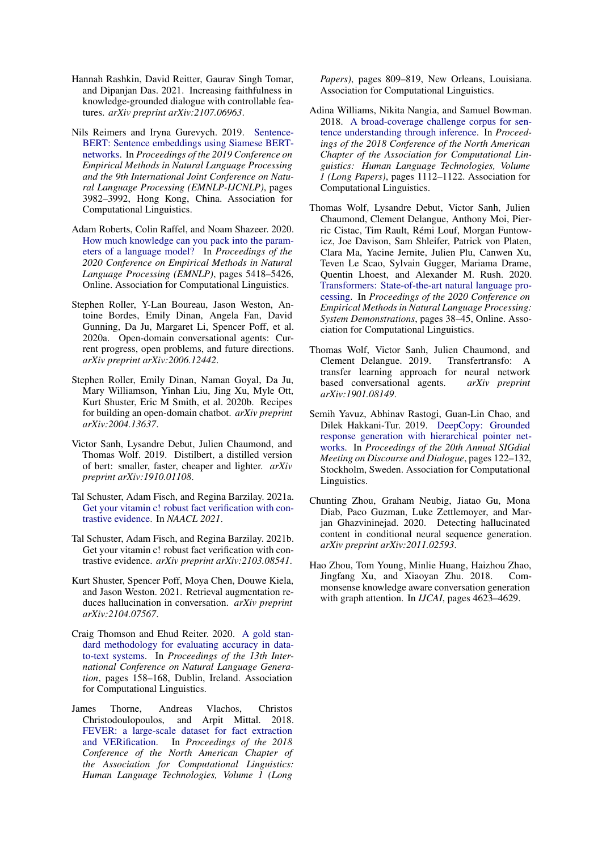- <span id="page-10-8"></span>Hannah Rashkin, David Reitter, Gaurav Singh Tomar, and Dipanjan Das. 2021. Increasing faithfulness in knowledge-grounded dialogue with controllable features. *arXiv preprint arXiv:2107.06963*.
- <span id="page-10-12"></span>Nils Reimers and Iryna Gurevych. 2019. [Sentence-](https://doi.org/10.18653/v1/D19-1410)[BERT: Sentence embeddings using Siamese BERT](https://doi.org/10.18653/v1/D19-1410)[networks.](https://doi.org/10.18653/v1/D19-1410) In *Proceedings of the 2019 Conference on Empirical Methods in Natural Language Processing and the 9th International Joint Conference on Natural Language Processing (EMNLP-IJCNLP)*, pages 3982–3992, Hong Kong, China. Association for Computational Linguistics.
- <span id="page-10-4"></span>Adam Roberts, Colin Raffel, and Noam Shazeer. 2020. [How much knowledge can you pack into the param](https://doi.org/10.18653/v1/2020.emnlp-main.437)[eters of a language model?](https://doi.org/10.18653/v1/2020.emnlp-main.437) In *Proceedings of the 2020 Conference on Empirical Methods in Natural Language Processing (EMNLP)*, pages 5418–5426, Online. Association for Computational Linguistics.
- <span id="page-10-0"></span>Stephen Roller, Y-Lan Boureau, Jason Weston, Antoine Bordes, Emily Dinan, Angela Fan, David Gunning, Da Ju, Margaret Li, Spencer Poff, et al. 2020a. Open-domain conversational agents: Current progress, open problems, and future directions. *arXiv preprint arXiv:2006.12442*.
- <span id="page-10-3"></span>Stephen Roller, Emily Dinan, Naman Goyal, Da Ju, Mary Williamson, Yinhan Liu, Jing Xu, Myle Ott, Kurt Shuster, Eric M Smith, et al. 2020b. Recipes for building an open-domain chatbot. *arXiv preprint arXiv:2004.13637*.
- <span id="page-10-13"></span>Victor Sanh, Lysandre Debut, Julien Chaumond, and Thomas Wolf. 2019. Distilbert, a distilled version of bert: smaller, faster, cheaper and lighter. *arXiv preprint arXiv:1910.01108*.
- <span id="page-10-9"></span>Tal Schuster, Adam Fisch, and Regina Barzilay. 2021a. [Get your vitamin c! robust fact verification with con](https://arxiv.org/abs/2103.08541)[trastive evidence.](https://arxiv.org/abs/2103.08541) In *NAACL 2021*.
- <span id="page-10-10"></span>Tal Schuster, Adam Fisch, and Regina Barzilay. 2021b. Get your vitamin c! robust fact verification with contrastive evidence. *arXiv preprint arXiv:2103.08541*.
- <span id="page-10-7"></span>Kurt Shuster, Spencer Poff, Moya Chen, Douwe Kiela, and Jason Weston. 2021. Retrieval augmentation reduces hallucination in conversation. *arXiv preprint arXiv:2104.07567*.
- <span id="page-10-6"></span>Craig Thomson and Ehud Reiter. 2020. [A gold stan](https://www.aclweb.org/anthology/2020.inlg-1.22)[dard methodology for evaluating accuracy in data](https://www.aclweb.org/anthology/2020.inlg-1.22)[to-text systems.](https://www.aclweb.org/anthology/2020.inlg-1.22) In *Proceedings of the 13th International Conference on Natural Language Generation*, pages 158–168, Dublin, Ireland. Association for Computational Linguistics.
- <span id="page-10-15"></span>James Thorne, Andreas Vlachos, Christos Christodoulopoulos, and Arpit Mittal. 2018. [FEVER: a large-scale dataset for fact extraction](https://doi.org/10.18653/v1/N18-1074) [and VERification.](https://doi.org/10.18653/v1/N18-1074) In *Proceedings of the 2018 Conference of the North American Chapter of the Association for Computational Linguistics: Human Language Technologies, Volume 1 (Long*

*Papers)*, pages 809–819, New Orleans, Louisiana. Association for Computational Linguistics.

- <span id="page-10-16"></span>Adina Williams, Nikita Nangia, and Samuel Bowman. 2018. [A broad-coverage challenge corpus for sen](http://aclweb.org/anthology/N18-1101)[tence understanding through inference.](http://aclweb.org/anthology/N18-1101) In *Proceedings of the 2018 Conference of the North American Chapter of the Association for Computational Linguistics: Human Language Technologies, Volume 1 (Long Papers)*, pages 1112–1122. Association for Computational Linguistics.
- <span id="page-10-14"></span>Thomas Wolf, Lysandre Debut, Victor Sanh, Julien Chaumond, Clement Delangue, Anthony Moi, Pierric Cistac, Tim Rault, Rémi Louf, Morgan Funtowicz, Joe Davison, Sam Shleifer, Patrick von Platen, Clara Ma, Yacine Jernite, Julien Plu, Canwen Xu, Teven Le Scao, Sylvain Gugger, Mariama Drame, Quentin Lhoest, and Alexander M. Rush. 2020. [Transformers: State-of-the-art natural language pro](https://www.aclweb.org/anthology/2020.emnlp-demos.6)[cessing.](https://www.aclweb.org/anthology/2020.emnlp-demos.6) In *Proceedings of the 2020 Conference on Empirical Methods in Natural Language Processing: System Demonstrations*, pages 38–45, Online. Association for Computational Linguistics.
- <span id="page-10-11"></span>Thomas Wolf, Victor Sanh, Julien Chaumond, and Clement Delangue. 2019. Transfertransfo: A transfer learning approach for neural network<br>based conversational agents. *arXiv preprint* based conversational agents. *arXiv:1901.08149*.
- <span id="page-10-1"></span>Semih Yavuz, Abhinav Rastogi, Guan-Lin Chao, and Dilek Hakkani-Tur. 2019. [DeepCopy: Grounded](https://doi.org/10.18653/v1/W19-5917) [response generation with hierarchical pointer net](https://doi.org/10.18653/v1/W19-5917)[works.](https://doi.org/10.18653/v1/W19-5917) In *Proceedings of the 20th Annual SIGdial Meeting on Discourse and Dialogue*, pages 122–132, Stockholm, Sweden. Association for Computational Linguistics.
- <span id="page-10-5"></span>Chunting Zhou, Graham Neubig, Jiatao Gu, Mona Diab, Paco Guzman, Luke Zettlemoyer, and Marjan Ghazvininejad. 2020. Detecting hallucinated content in conditional neural sequence generation. *arXiv preprint arXiv:2011.02593*.
- <span id="page-10-2"></span>Hao Zhou, Tom Young, Minlie Huang, Haizhou Zhao, Jingfang Xu, and Xiaoyan Zhu. 2018. Commonsense knowledge aware conversation generation with graph attention. In *IJCAI*, pages 4623–4629.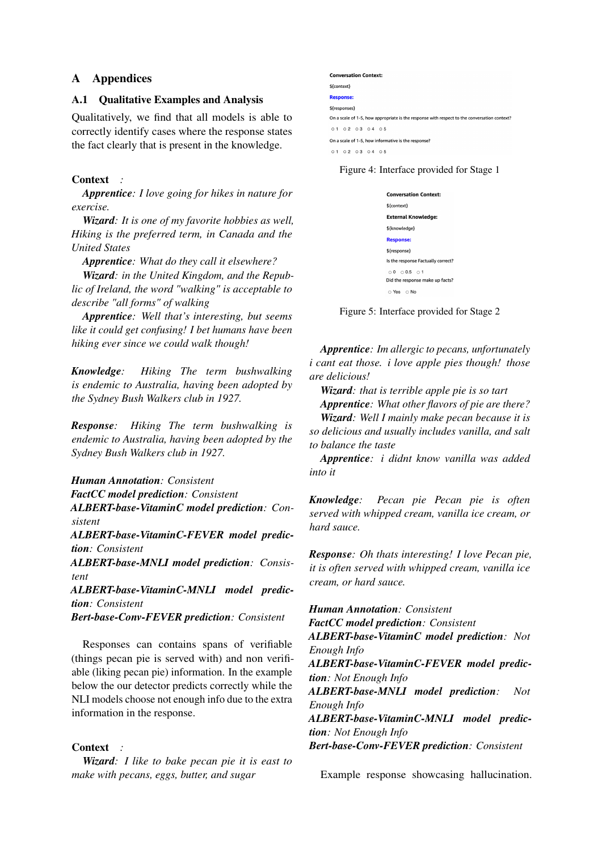## A Appendices

### A.1 Qualitative Examples and Analysis

Qualitatively, we find that all models is able to correctly identify cases where the response states the fact clearly that is present in the knowledge.

## Context *:*

*Apprentice: I love going for hikes in nature for exercise.*

*Wizard: It is one of my favorite hobbies as well, Hiking is the preferred term, in Canada and the United States*

*Apprentice: What do they call it elsewhere?*

*Wizard: in the United Kingdom, and the Republic of Ireland, the word "walking" is acceptable to describe "all forms" of walking*

*Apprentice: Well that's interesting, but seems like it could get confusing! I bet humans have been hiking ever since we could walk though!*

*Knowledge: Hiking The term bushwalking is endemic to Australia, having been adopted by the Sydney Bush Walkers club in 1927.*

*Response: Hiking The term bushwalking is endemic to Australia, having been adopted by the Sydney Bush Walkers club in 1927.*

*Human Annotation: Consistent FactCC model prediction: Consistent*

*ALBERT-base-VitaminC model prediction: Consistent*

*ALBERT-base-VitaminC-FEVER model prediction: Consistent*

*ALBERT-base-MNLI model prediction: Consistent*

*ALBERT-base-VitaminC-MNLI model prediction: Consistent*

*Bert-base-Conv-FEVER prediction: Consistent*

Responses can contains spans of verifiable (things pecan pie is served with) and non verifiable (liking pecan pie) information. In the example below the our detector predicts correctly while the NLI models choose not enough info due to the extra information in the response.

### Context *:*

*Wizard: I like to bake pecan pie it is east to make with pecans, eggs, butter, and sugar*

#### <span id="page-11-0"></span>**Conversation Context:** \${context} Response \${responses] On a scale of 1-5, how appropriate is the response with respect to the conversation context? 01 02 03 04 05 On a scale of 1-5, how informative is the response? 01 02 03 04 05

<span id="page-11-1"></span>Figure 4: Interface provided for Stage 1

| <b>Conversation Context:</b>                |
|---------------------------------------------|
| \${context}                                 |
| <b>External Knowledge:</b>                  |
| \${knowledge}                               |
| <b>Response:</b>                            |
| \$fresponse}                                |
| Is the response Factually correct?          |
| 0.000501<br>Did the response make up facts? |
| $\circ$ Yes $\circ$ No                      |

Figure 5: Interface provided for Stage 2

*Apprentice: Im allergic to pecans, unfortunately i cant eat those. i love apple pies though! those are delicious!*

*Wizard: that is terrible apple pie is so tart*

*Apprentice: What other flavors of pie are there? Wizard: Well I mainly make pecan because it is so delicious and usually includes vanilla, and salt to balance the taste*

*Apprentice: i didnt know vanilla was added into it*

*Knowledge: Pecan pie Pecan pie is often served with whipped cream, vanilla ice cream, or hard sauce.*

*Response: Oh thats interesting! I love Pecan pie, it is often served with whipped cream, vanilla ice cream, or hard sauce.*

*Human Annotation: Consistent*

*FactCC model prediction: Consistent*

*ALBERT-base-VitaminC model prediction: Not Enough Info*

*ALBERT-base-VitaminC-FEVER model prediction: Not Enough Info*

*ALBERT-base-MNLI model prediction: Not Enough Info*

*ALBERT-base-VitaminC-MNLI model prediction: Not Enough Info*

*Bert-base-Conv-FEVER prediction: Consistent*

Example response showcasing hallucination.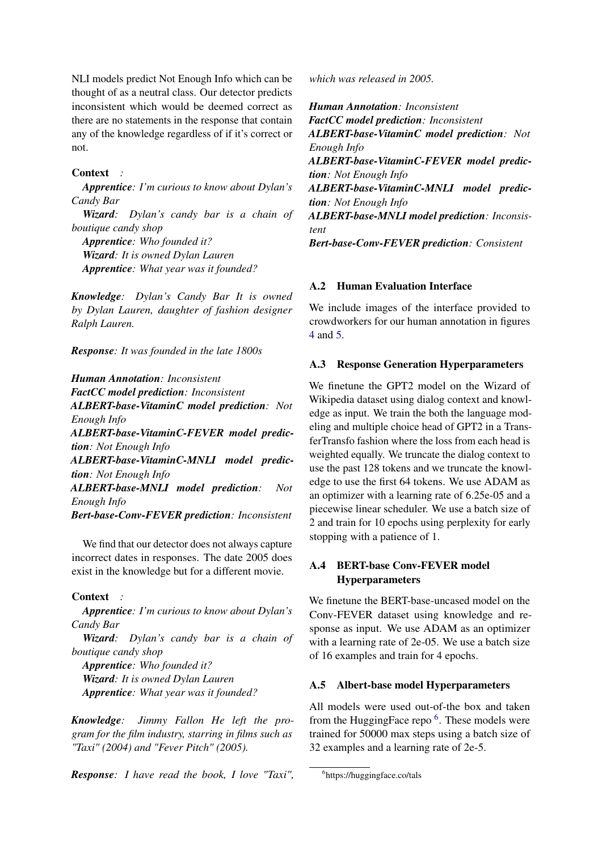NLI models predict Not Enough Info which can be thought of as a neutral class. Our detector predicts inconsistent which would be deemed correct as there are no statements in the response that contain any of the knowledge regardless of if it's correct or not.

### Context *:*

*Apprentice: I'm curious to know about Dylan's Candy Bar*

*Wizard: Dylan's candy bar is a chain of boutique candy shop*

*Apprentice: Who founded it? Wizard: It is owned Dylan Lauren Apprentice: What year was it founded?*

*Knowledge: Dylan's Candy Bar It is owned by Dylan Lauren, daughter of fashion designer Ralph Lauren.*

*Response: It was founded in the late 1800s*

#### *Human Annotation: Inconsistent*

*FactCC model prediction: Inconsistent*

*ALBERT-base-VitaminC model prediction: Not Enough Info*

*ALBERT-base-VitaminC-FEVER model prediction: Not Enough Info*

*ALBERT-base-VitaminC-MNLI model prediction: Not Enough Info*

*ALBERT-base-MNLI model prediction: Not Enough Info*

*Bert-base-Conv-FEVER prediction: Inconsistent*

We find that our detector does not always capture incorrect dates in responses. The date 2005 does exist in the knowledge but for a different movie.

#### Context *:*

*Apprentice: I'm curious to know about Dylan's Candy Bar*

*Wizard: Dylan's candy bar is a chain of boutique candy shop*

*Apprentice: Who founded it? Wizard: It is owned Dylan Lauren Apprentice: What year was it founded?*

*Knowledge: Jimmy Fallon He left the program for the film industry, starring in films such as "Taxi" (2004) and "Fever Pitch" (2005).*

*Response: I have read the book, I love "Taxi",*

*which was released in 2005.*

*Human Annotation: Inconsistent FactCC model prediction: Inconsistent ALBERT-base-VitaminC model prediction: Not Enough Info ALBERT-base-VitaminC-FEVER model prediction: Not Enough Info ALBERT-base-VitaminC-MNLI model prediction: Not Enough Info ALBERT-base-MNLI model prediction: Inconsistent Bert-base-Conv-FEVER prediction: Consistent*

### A.2 Human Evaluation Interface

We include images of the interface provided to crowdworkers for our human annotation in figures [4](#page-11-0) and [5.](#page-11-1)

#### A.3 Response Generation Hyperparameters

We finetune the GPT2 model on the Wizard of Wikipedia dataset using dialog context and knowledge as input. We train the both the language modeling and multiple choice head of GPT2 in a TransferTransfo fashion where the loss from each head is weighted equally. We truncate the dialog context to use the past 128 tokens and we truncate the knowledge to use the first 64 tokens. We use ADAM as an optimizer with a learning rate of 6.25e-05 and a piecewise linear scheduler. We use a batch size of 2 and train for 10 epochs using perplexity for early stopping with a patience of 1.

## A.4 BERT-base Conv-FEVER model **Hyperparameters**

We finetune the BERT-base-uncased model on the Conv-FEVER dataset using knowledge and response as input. We use ADAM as an optimizer with a learning rate of 2e-05. We use a batch size of 16 examples and train for 4 epochs.

#### A.5 Albert-base model Hyperparameters

All models were used out-of-the box and taken from the HuggingFace repo<sup>[6](#page-12-0)</sup>. These models were trained for 50000 max steps using a batch size of 32 examples and a learning rate of 2e-5.

<span id="page-12-0"></span><sup>6</sup> https://huggingface.co/tals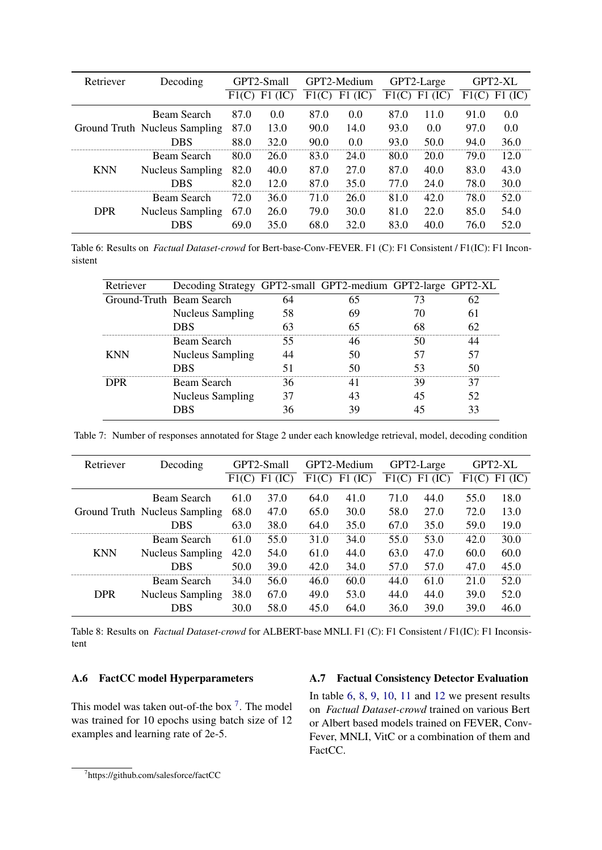<span id="page-13-1"></span>

| Retriever  | Decoding                      | GPT2-Small |            | GPT2-Medium |           |       | GPT2-Large | GPT2-XL |           |  |
|------------|-------------------------------|------------|------------|-------------|-----------|-------|------------|---------|-----------|--|
|            |                               | F1(C)      | F1<br>(IC) | F1(C)       | $F1$ (IC) | F1(C) | F1<br>(IC) | F1(C)   | $F1$ (IC) |  |
|            | Beam Search                   | 87.0       | 0.0        | 87.0        | 0.0       | 87.0  | 11.0       | 91.0    | 0.0       |  |
|            | Ground Truth Nucleus Sampling | 87.0       | 13.0       | 90.0        | 14.0      | 93.0  | 0.0        | 97.0    | 0.0       |  |
|            | DBS                           | 88.0       | 32.0       | 90.0        | 0.0       | 93.0  | 50.0       | 94.0    | 36.0      |  |
|            | Beam Search                   | 80.0       | 26.0       | 83.0        | 24.0      | 80.0  | 20.0       | 79.0    | 12.0      |  |
| <b>KNN</b> | <b>Nucleus Sampling</b>       | 82.0       | 40.0       | 87.0        | 27.0      | 87.0  | 40.0       | 83.0    | 43.0      |  |
|            | DBS                           | 82.0       | 12.0       | 87.0        | 35.0      | 77.0  | 24.0       | 78.0    | 30.0      |  |
| <b>DPR</b> | Beam Search                   | 72.0       | 36.0       | 71.0        | 26.0      | 81.0  | 42.0       | 78.0    | 52.0      |  |
|            | <b>Nucleus Sampling</b>       | 67.0       | 26.0       | 79.0        | 30.0      | 81.0  | 22.0       | 85.0    | 54.0      |  |
|            | DBS                           | 69.0       | 35.0       | 68.0        | 32.0      | 83.0  | 40.0       | 76.0    | 52.0      |  |

Table 6: Results on *Factual Dataset-crowd* for Bert-base-Conv-FEVER. F1 (C): F1 Consistent / F1(IC): F1 Inconsistent

| Retriever                | Decoding Strategy GPT2-small GPT2-medium GPT2-large GPT2-XL |  |  |
|--------------------------|-------------------------------------------------------------|--|--|
| Ground-Truth Beam Search |                                                             |  |  |
|                          | <b>Nucleus Sampling</b>                                     |  |  |
|                          | DBS                                                         |  |  |
|                          | Beam Search                                                 |  |  |
|                          | <b>Nucleus Sampling</b>                                     |  |  |
|                          | <b>DBS</b>                                                  |  |  |
|                          | Beam Search                                                 |  |  |
|                          | <b>Nucleus Sampling</b>                                     |  |  |
|                          |                                                             |  |  |

Table 7: Number of responses annotated for Stage 2 under each knowledge retrieval, model, decoding condition

<span id="page-13-2"></span>

| Retriever  | Decoding                      | GPT2-Small |            | GPT2-Medium |           |       | GPT2-Large | GPT2-XL |           |  |
|------------|-------------------------------|------------|------------|-------------|-----------|-------|------------|---------|-----------|--|
|            |                               | F1(C)      | F1<br>(IC) | F1(C)       | $F1$ (IC) | F1(C) | $F1$ (IC)  | F1(C)   | $F1$ (IC) |  |
|            | Beam Search                   | 61.0       | 37.0       | 64.0        | 41.0      | 71.0  | 44.0       | 55.0    | 18.0      |  |
|            | Ground Truth Nucleus Sampling | 68.0       | 47.0       | 65.0        | 30.0      | 58.0  | 27.0       | 72.0    | 13.0      |  |
|            | <b>DBS</b>                    | 63.0       | 38.0       | 64.0        | 35.0      | 67.0  | 35.0       | 59.0    | 19.0      |  |
|            | Beam Search                   | 61.0       | 55.0       | 31.0        | 34.0      | 55.0  | 53.0       | 42.0    | 30.0      |  |
| <b>KNN</b> | <b>Nucleus Sampling</b>       | 42.0       | 54.0       | 61.0        | 44.0      | 63.0  | 47.0       | 60.0    | 60.0      |  |
|            | <b>DBS</b>                    | 50.0       | 39.0       | 42.0        | 34.0      | 57.0  | 57.0       | 47.0    | 45.0      |  |
|            | Beam Search                   | 34.0       | 56.0       | 46.0        | 60.0      | 44.0  | 61.0       | 21.0    | 52.0      |  |
| <b>DPR</b> | <b>Nucleus Sampling</b>       | 38.0       | 67.0       | 49.0        | 53.0      | 44.0  | 44.0       | 39.0    | 52.0      |  |
|            | DBS                           | 30.0       | 58.0       | 45.0        | 64.0      | 36.0  | 39.0       | 39.0    | 46.0      |  |

Table 8: Results on *Factual Dataset-crowd* for ALBERT-base MNLI. F1 (C): F1 Consistent / F1(IC): F1 Inconsistent

## A.6 FactCC model Hyperparameters

This model was taken out-of-the box  $<sup>7</sup>$  $<sup>7</sup>$  $<sup>7</sup>$ . The model</sup> was trained for 10 epochs using batch size of 12 examples and learning rate of 2e-5.

## A.7 Factual Consistency Detector Evaluation

In table  $6, 8, 9, 10, 11$  $6, 8, 9, 10, 11$  $6, 8, 9, 10, 11$  $6, 8, 9, 10, 11$  $6, 8, 9, 10, 11$  $6, 8, 9, 10, 11$  $6, 8, 9, 10, 11$  $6, 8, 9, 10, 11$  $6, 8, 9, 10, 11$  and  $12$  we present results on *Factual Dataset-crowd* trained on various Bert or Albert based models trained on FEVER, Conv-Fever, MNLI, VitC or a combination of them and FactCC.

<span id="page-13-0"></span><sup>7</sup> https://github.com/salesforce/factCC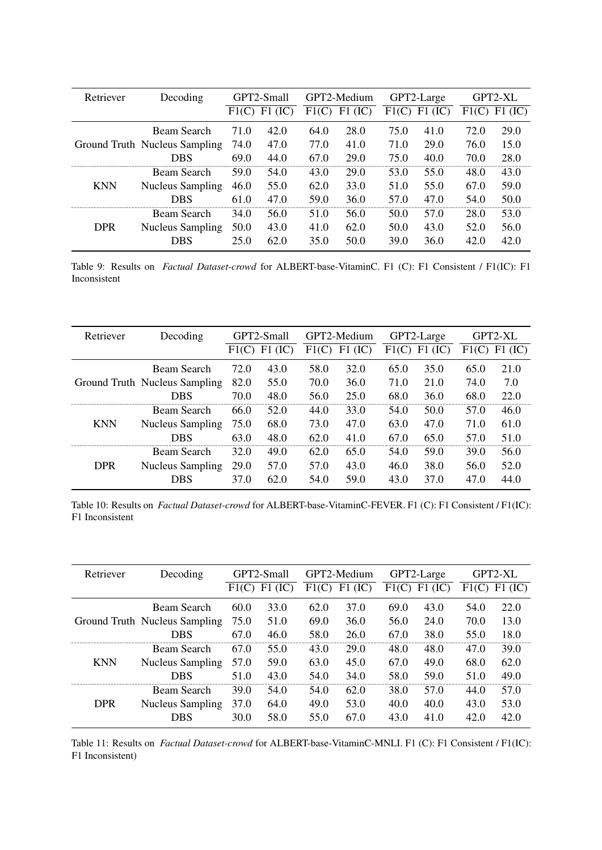<span id="page-14-0"></span>

| Retriever  | Decoding                      | GPT2-Small |            | GPT2-Medium |            |       | GPT2-Large | GPT2-XL |           |  |
|------------|-------------------------------|------------|------------|-------------|------------|-------|------------|---------|-----------|--|
|            |                               | F1(C)      | F1<br>(IC) | F1(C)       | F1<br>(IC) | F1(C) | F1<br>(IC) | F1(C)   | $F1$ (IC) |  |
|            | Beam Search                   | 71.0       | 42.0       | 64.0        | 28.0       | 75.0  | 41.0       | 72.0    | 29.0      |  |
|            | Ground Truth Nucleus Sampling | 74.0       | 47.0       | 77.0        | 41.0       | 71.0  | 29.0       | 76.0    | 15.0      |  |
|            | DBS                           | 69.0       | 44.0       | 67.0        | 29.0       | 75.0  | 40.0       | 70.0    | 28.0      |  |
|            | Beam Search                   | 59.0       | 54.0       | 43.0        | 29.0       | 53.0  | 55.0       | 48.0    | 43.0      |  |
| <b>KNN</b> | <b>Nucleus Sampling</b>       | 46.0       | 55.0       | 62.0        | 33.0       | 51.0  | 55.0       | 67.0    | 59.0      |  |
|            | <b>DBS</b>                    | 61.0       | 47.0       | 59.0        | 36.0       | 57.0  | 47.0       | 54.0    | 50.0      |  |
| <b>DPR</b> | Beam Search                   | 34.0       | 56.0       | 51.0        | 56.0       | 50.0  | 57.0       | 28.0    | 53.0      |  |
|            | <b>Nucleus Sampling</b>       | 50.0       | 43.0       | 41.0        | 62.0       | 50.0  | 43.0       | 52.0    | 56.0      |  |
|            | DBS                           | 25.0       | 62.0       | 35.0        | 50.0       | 39.0  | 36.0       | 42.0    | 42.0      |  |

Table 9: Results on *Factual Dataset-crowd* for ALBERT-base-VitaminC. F1 (C): F1 Consistent / F1(IC): F1 Inconsistent

<span id="page-14-1"></span>

| Retriever  | Decoding                      | GPT2-Small |      | GPT2-Medium |            | GPT2-Large |      | GPT2-XL |           |
|------------|-------------------------------|------------|------|-------------|------------|------------|------|---------|-----------|
|            |                               | F1(C)      | F1   | F1<br>Œ     | F1<br>(IC) | F1(C)      | F1   | F1(C)   | $F1$ (IC) |
|            | Beam Search                   | 72.0       | 43.0 | 58.0        | 32.0       | 65.0       | 35.0 | 65.0    | 21.0      |
|            | Ground Truth Nucleus Sampling | 82.0       | 55.0 | 70.0        | 36.0       | 71.0       | 21.0 | 74.0    | 7.0       |
|            | DBS                           | 70.0       | 48.0 | 56.0        | 25.0       | 68.0       | 36.0 | 68.0    | 22.0      |
| <b>KNN</b> | Beam Search                   | 66.0       | 52.0 | 44.0        | 33.0       | 54.0       | 50.0 | 57.0    | 46.0      |
|            | <b>Nucleus Sampling</b>       | 75.0       | 68.0 | 73.0        | 47.0       | 63.0       | 47.0 | 71.0    | 61.0      |
|            | DBS                           | 63.0       | 48.0 | 62.0        | 41.0       | 67.0       | 65.0 | 57.0    | 51.0      |
| <b>DPR</b> | Beam Search                   | 32.0       | 49.0 | 62.0        | 65.0       | 54.0       | 59.0 | 39.0    | 56.0      |
|            | <b>Nucleus Sampling</b>       | 29.0       | 57.0 | 57.0        | 43.0       | 46.0       | 38.0 | 56.0    | 52.0      |
|            | DBS                           | 37.O       | 62.0 | 54.0        | 59.0       | 43.0       | 37.0 | 47.0    | 44.0      |

Table 10: Results on *Factual Dataset-crowd* for ALBERT-base-VitaminC-FEVER. F1 (C): F1 Consistent / F1(IC): F1 Inconsistent

<span id="page-14-2"></span>

| Retriever  | Decoding                      | GPT2-Small |            | GPT2-Medium |           | GPT2-Large |            | GPT2-XL |           |
|------------|-------------------------------|------------|------------|-------------|-----------|------------|------------|---------|-----------|
|            |                               | F1(C)      | F1<br>(IC) | F1(C)       | $F1$ (IC) | F1(C)      | F1<br>(IC) | F1(C)   | $F1$ (IC) |
|            | Beam Search                   | 60.0       | 33.0       | 62.0        | 37.0      | 69.0       | 43.0       | 54.0    | 22.0      |
|            | Ground Truth Nucleus Sampling | 75.0       | 51.0       | 69.0        | 36.0      | 56.0       | 24.0       | 70.0    | 13.0      |
|            | <b>DBS</b>                    | 67.0       | 46.0       | 58.0        | 26.0      | 67.0       | 38.0       | 55.0    | 18.0      |
| <b>KNN</b> | Beam Search                   | 67.0       | 55.0       | 43.0        | 29.0      | 48.0       | 48.0       | 47.0    | 39.0      |
|            | <b>Nucleus Sampling</b>       | 57.0       | 59.0       | 63.0        | 45.0      | 67.0       | 49.0       | 68.0    | 62.0      |
|            | <b>DBS</b>                    | 51.0       | 43.0       | 54.0        | 34.0      | 58.0       | 59.0       | 51.0    | 49.0      |
| <b>DPR</b> | Beam Search                   | 39.0       | 54.0       | 54.0        | 62.0      | 38.0       | 57.0       | 44.0    | 57.0      |
|            | <b>Nucleus Sampling</b>       | 37.0       | 64.0       | 49.0        | 53.0      | 40.0       | 40.0       | 43.0    | 53.0      |
|            | DBS                           | 30.0       | 58.0       | 55.0        | 67.0      | 43.0       | 41.0       | 42.0    | 42.0      |

Table 11: Results on *Factual Dataset-crowd* for ALBERT-base-VitaminC-MNLI. F1 (C): F1 Consistent / F1(IC): F1 Inconsistent)